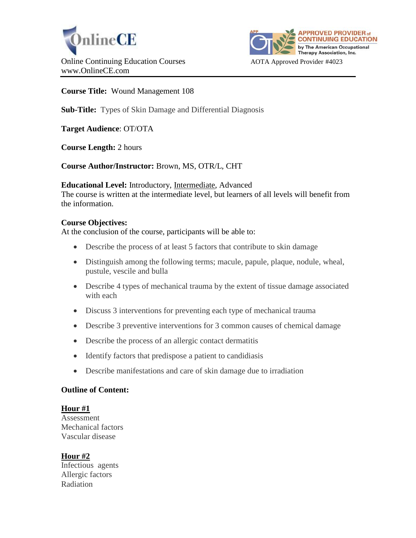



## **Course Title:** Wound Management 108

# **Sub-Title:** Types of Skin Damage and Differential Diagnosis

**Target Audience**: OT/OTA

**Course Length:** 2 hours

## **Course Author/Instructor:** Brown, MS, OTR/L, CHT

#### **Educational Level:** Introductory, Intermediate, Advanced

The course is written at the intermediate level, but learners of all levels will benefit from the information.

#### **Course Objectives:**

At the conclusion of the course, participants will be able to:

- Describe the process of at least 5 factors that contribute to skin damage
- Distinguish among the following terms; macule, papule, plaque, nodule, wheal, pustule, vescile and bulla
- Describe 4 types of mechanical trauma by the extent of tissue damage associated with each
- Discuss 3 interventions for preventing each type of mechanical trauma
- Describe 3 preventive interventions for 3 common causes of chemical damage
- Describe the process of an allergic contact dermatitis
- Identify factors that predispose a patient to candidiasis
- Describe manifestations and care of skin damage due to irradiation

#### **Outline of Content:**

#### **Hour #1**

Assessment Mechanical factors Vascular disease

## **Hour #2**

Infectious agents Allergic factors Radiation